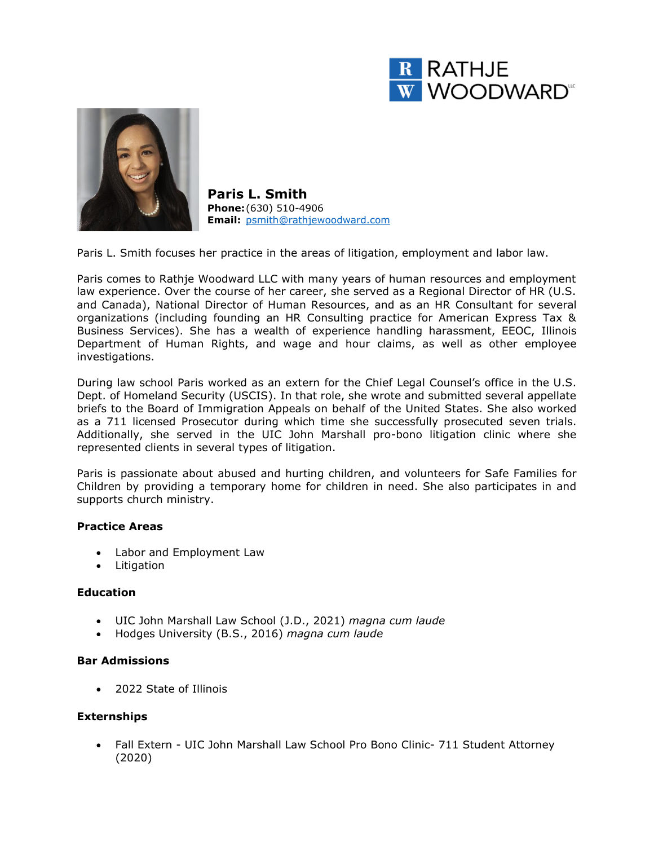



**Paris L. Smith Phone:**(630) 510-4906 **Email:** [psmith@rathjewoodward.com](mailto:psmith@rathjewoodward.com)

Paris L. Smith focuses her practice in the areas of litigation, employment and labor law.

Paris comes to Rathje Woodward LLC with many years of human resources and employment law experience. Over the course of her career, she served as a Regional Director of HR (U.S. and Canada), National Director of Human Resources, and as an HR Consultant for several organizations (including founding an HR Consulting practice for American Express Tax & Business Services). She has a wealth of experience handling harassment, EEOC, Illinois Department of Human Rights, and wage and hour claims, as well as other employee investigations.

During law school Paris worked as an extern for the Chief Legal Counsel's office in the U.S. Dept. of Homeland Security (USCIS). In that role, she wrote and submitted several appellate briefs to the Board of Immigration Appeals on behalf of the United States. She also worked as a 711 licensed Prosecutor during which time she successfully prosecuted seven trials. Additionally, she served in the UIC John Marshall pro-bono litigation clinic where she represented clients in several types of litigation.

Paris is passionate about abused and hurting children, and volunteers for Safe Families for Children by providing a temporary home for children in need. She also participates in and supports church ministry.

### **Practice Areas**

- Labor and Employment Law
- Litigation

#### **Education**

- UIC John Marshall Law School (J.D., 2021) *magna cum laude*
- Hodges University (B.S., 2016) *magna cum laude*

#### **Bar Admissions**

• 2022 State of Illinois

## **Externships**

• Fall Extern - UIC John Marshall Law School Pro Bono Clinic- 711 Student Attorney (2020)